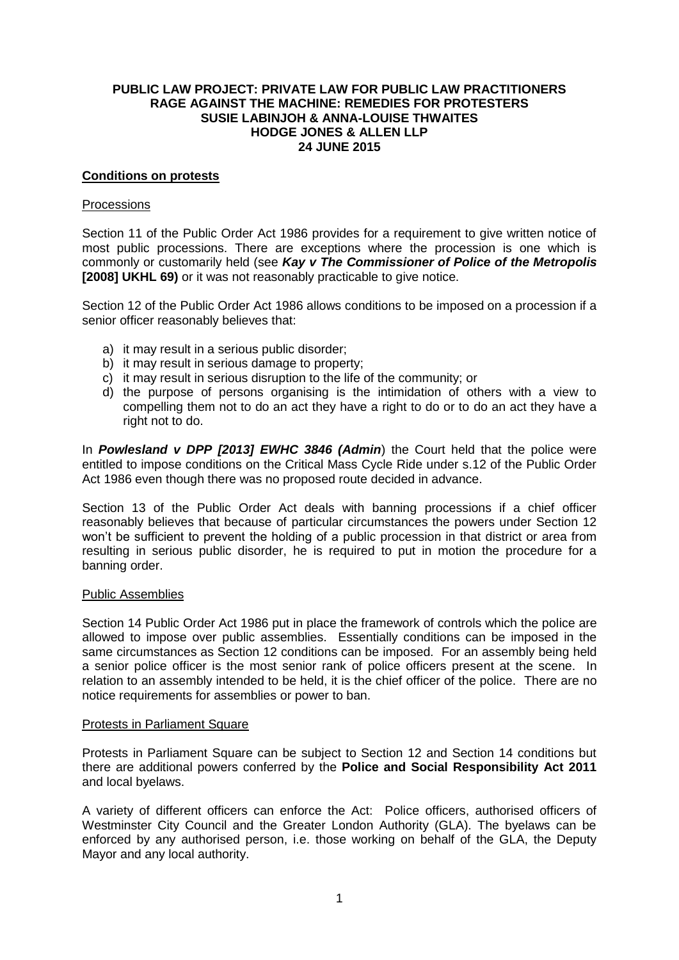### **PUBLIC LAW PROJECT: PRIVATE LAW FOR PUBLIC LAW PRACTITIONERS RAGE AGAINST THE MACHINE: REMEDIES FOR PROTESTERS SUSIE LABINJOH & ANNA-LOUISE THWAITES HODGE JONES & ALLEN LLP 24 JUNE 2015**

### **Conditions on protests**

### Processions

Section 11 of the Public Order Act 1986 provides for a requirement to give written notice of most public processions. There are exceptions where the procession is one which is commonly or customarily held (see *Kay v The Commissioner of Police of the Metropolis* **[2008] UKHL 69)** or it was not reasonably practicable to give notice.

Section 12 of the Public Order Act 1986 allows conditions to be imposed on a procession if a senior officer reasonably believes that:

- a) it may result in a serious public disorder;
- b) it may result in serious damage to property;
- c) it may result in serious disruption to the life of the community; or
- d) the purpose of persons organising is the intimidation of others with a view to compelling them not to do an act they have a right to do or to do an act they have a right not to do.

In *Powlesland v DPP [2013] EWHC 3846 (Admin*) the Court held that the police were entitled to impose conditions on the Critical Mass Cycle Ride under s.12 of the Public Order Act 1986 even though there was no proposed route decided in advance.

Section 13 of the Public Order Act deals with banning processions if a chief officer reasonably believes that because of particular circumstances the powers under Section 12 won't be sufficient to prevent the holding of a public procession in that district or area from resulting in serious public disorder, he is required to put in motion the procedure for a banning order.

#### Public Assemblies

Section 14 Public Order Act 1986 put in place the framework of controls which the police are allowed to impose over public assemblies. Essentially conditions can be imposed in the same circumstances as Section 12 conditions can be imposed. For an assembly being held a senior police officer is the most senior rank of police officers present at the scene. In relation to an assembly intended to be held, it is the chief officer of the police. There are no notice requirements for assemblies or power to ban.

#### Protests in Parliament Square

Protests in Parliament Square can be subject to Section 12 and Section 14 conditions but there are additional powers conferred by the **Police and Social Responsibility Act 2011** and local byelaws.

A variety of different officers can enforce the Act: Police officers, authorised officers of Westminster City Council and the Greater London Authority (GLA). The byelaws can be enforced by any authorised person, i.e. those working on behalf of the GLA, the Deputy Mayor and any local authority.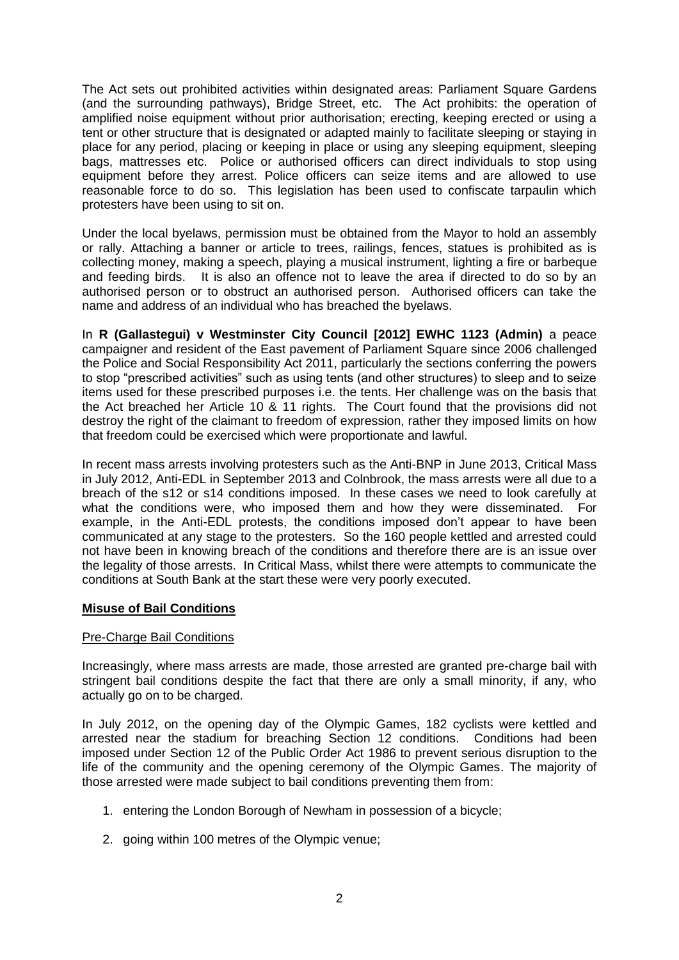The Act sets out prohibited activities within designated areas: Parliament Square Gardens (and the surrounding pathways), Bridge Street, etc. The Act prohibits: the operation of amplified noise equipment without prior authorisation; erecting, keeping erected or using a tent or other structure that is designated or adapted mainly to facilitate sleeping or staying in place for any period, placing or keeping in place or using any sleeping equipment, sleeping bags, mattresses etc. Police or authorised officers can direct individuals to stop using equipment before they arrest. Police officers can seize items and are allowed to use reasonable force to do so. This legislation has been used to confiscate tarpaulin which protesters have been using to sit on.

Under the local byelaws, permission must be obtained from the Mayor to hold an assembly or rally. Attaching a banner or article to trees, railings, fences, statues is prohibited as is collecting money, making a speech, playing a musical instrument, lighting a fire or barbeque and feeding birds. It is also an offence not to leave the area if directed to do so by an authorised person or to obstruct an authorised person. Authorised officers can take the name and address of an individual who has breached the byelaws.

In **R (Gallastegui) v Westminster City Council [2012] EWHC 1123 (Admin)** a peace campaigner and resident of the East pavement of Parliament Square since 2006 challenged the Police and Social Responsibility Act 2011, particularly the sections conferring the powers to stop "prescribed activities" such as using tents (and other structures) to sleep and to seize items used for these prescribed purposes i.e. the tents. Her challenge was on the basis that the Act breached her Article 10 & 11 rights. The Court found that the provisions did not destroy the right of the claimant to freedom of expression, rather they imposed limits on how that freedom could be exercised which were proportionate and lawful.

In recent mass arrests involving protesters such as the Anti-BNP in June 2013, Critical Mass in July 2012, Anti-EDL in September 2013 and Colnbrook, the mass arrests were all due to a breach of the s12 or s14 conditions imposed. In these cases we need to look carefully at what the conditions were, who imposed them and how they were disseminated. For example, in the Anti-EDL protests, the conditions imposed don't appear to have been communicated at any stage to the protesters. So the 160 people kettled and arrested could not have been in knowing breach of the conditions and therefore there are is an issue over the legality of those arrests. In Critical Mass, whilst there were attempts to communicate the conditions at South Bank at the start these were very poorly executed.

# **Misuse of Bail Conditions**

#### Pre-Charge Bail Conditions

Increasingly, where mass arrests are made, those arrested are granted pre-charge bail with stringent bail conditions despite the fact that there are only a small minority, if any, who actually go on to be charged.

In July 2012, on the opening day of the Olympic Games, 182 cyclists were kettled and arrested near the stadium for breaching Section 12 conditions. Conditions had been imposed under Section 12 of the Public Order Act 1986 to prevent serious disruption to the life of the community and the opening ceremony of the Olympic Games. The majority of those arrested were made subject to bail conditions preventing them from:

- 1. entering the London Borough of Newham in possession of a bicycle;
- 2. going within 100 metres of the Olympic venue;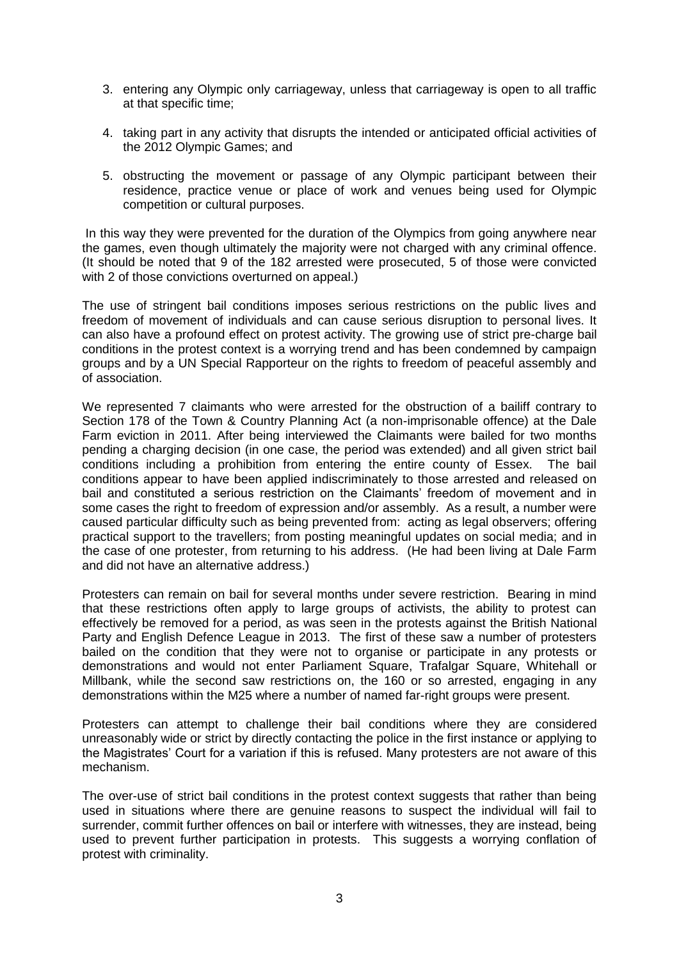- 3. entering any Olympic only carriageway, unless that carriageway is open to all traffic at that specific time;
- 4. taking part in any activity that disrupts the intended or anticipated official activities of the 2012 Olympic Games; and
- 5. obstructing the movement or passage of any Olympic participant between their residence, practice venue or place of work and venues being used for Olympic competition or cultural purposes.

In this way they were prevented for the duration of the Olympics from going anywhere near the games, even though ultimately the majority were not charged with any criminal offence. (It should be noted that 9 of the 182 arrested were prosecuted, 5 of those were convicted with 2 of those convictions overturned on appeal.)

The use of stringent bail conditions imposes serious restrictions on the public lives and freedom of movement of individuals and can cause serious disruption to personal lives. It can also have a profound effect on protest activity. The growing use of strict pre-charge bail conditions in the protest context is a worrying trend and has been condemned by campaign groups and by a UN Special Rapporteur on the rights to freedom of peaceful assembly and of association.

We represented 7 claimants who were arrested for the obstruction of a bailiff contrary to Section 178 of the Town & Country Planning Act (a non-imprisonable offence) at the Dale Farm eviction in 2011. After being interviewed the Claimants were bailed for two months pending a charging decision (in one case, the period was extended) and all given strict bail conditions including a prohibition from entering the entire county of Essex. The bail conditions appear to have been applied indiscriminately to those arrested and released on bail and constituted a serious restriction on the Claimants' freedom of movement and in some cases the right to freedom of expression and/or assembly. As a result, a number were caused particular difficulty such as being prevented from: acting as legal observers; offering practical support to the travellers; from posting meaningful updates on social media; and in the case of one protester, from returning to his address. (He had been living at Dale Farm and did not have an alternative address.)

Protesters can remain on bail for several months under severe restriction. Bearing in mind that these restrictions often apply to large groups of activists, the ability to protest can effectively be removed for a period, as was seen in the protests against the British National Party and English Defence League in 2013. The first of these saw a number of protesters bailed on the condition that they were not to organise or participate in any protests or demonstrations and would not enter Parliament Square, Trafalgar Square, Whitehall or Millbank, while the second saw restrictions on, the 160 or so arrested, engaging in any demonstrations within the M25 where a number of named far-right groups were present.

Protesters can attempt to challenge their bail conditions where they are considered unreasonably wide or strict by directly contacting the police in the first instance or applying to the Magistrates' Court for a variation if this is refused. Many protesters are not aware of this mechanism.

The over-use of strict bail conditions in the protest context suggests that rather than being used in situations where there are genuine reasons to suspect the individual will fail to surrender, commit further offences on bail or interfere with witnesses, they are instead, being used to prevent further participation in protests. This suggests a worrying conflation of protest with criminality.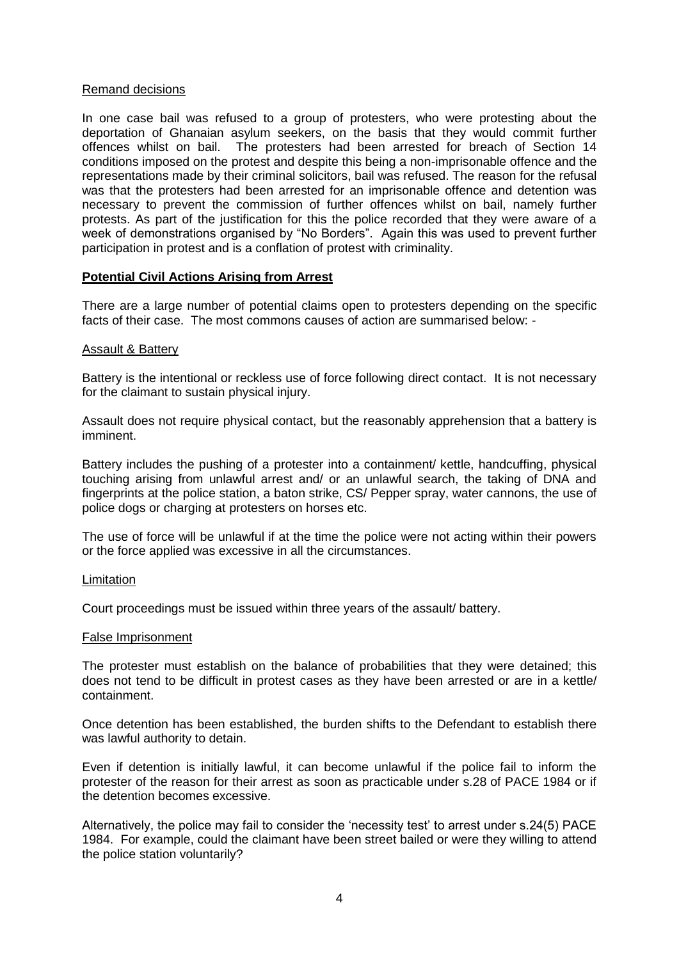#### Remand decisions

In one case bail was refused to a group of protesters, who were protesting about the deportation of Ghanaian asylum seekers, on the basis that they would commit further offences whilst on bail. The protesters had been arrested for breach of Section 14 conditions imposed on the protest and despite this being a non-imprisonable offence and the representations made by their criminal solicitors, bail was refused. The reason for the refusal was that the protesters had been arrested for an imprisonable offence and detention was necessary to prevent the commission of further offences whilst on bail, namely further protests. As part of the justification for this the police recorded that they were aware of a week of demonstrations organised by "No Borders". Again this was used to prevent further participation in protest and is a conflation of protest with criminality.

# **Potential Civil Actions Arising from Arrest**

There are a large number of potential claims open to protesters depending on the specific facts of their case. The most commons causes of action are summarised below: -

### Assault & Battery

Battery is the intentional or reckless use of force following direct contact. It is not necessary for the claimant to sustain physical injury.

Assault does not require physical contact, but the reasonably apprehension that a battery is imminent.

Battery includes the pushing of a protester into a containment/ kettle, handcuffing, physical touching arising from unlawful arrest and/ or an unlawful search, the taking of DNA and fingerprints at the police station, a baton strike, CS/ Pepper spray, water cannons, the use of police dogs or charging at protesters on horses etc.

The use of force will be unlawful if at the time the police were not acting within their powers or the force applied was excessive in all the circumstances.

#### Limitation

Court proceedings must be issued within three years of the assault/ battery.

#### False Imprisonment

The protester must establish on the balance of probabilities that they were detained; this does not tend to be difficult in protest cases as they have been arrested or are in a kettle/ containment.

Once detention has been established, the burden shifts to the Defendant to establish there was lawful authority to detain.

Even if detention is initially lawful, it can become unlawful if the police fail to inform the protester of the reason for their arrest as soon as practicable under s.28 of PACE 1984 or if the detention becomes excessive.

Alternatively, the police may fail to consider the 'necessity test' to arrest under s.24(5) PACE 1984. For example, could the claimant have been street bailed or were they willing to attend the police station voluntarily?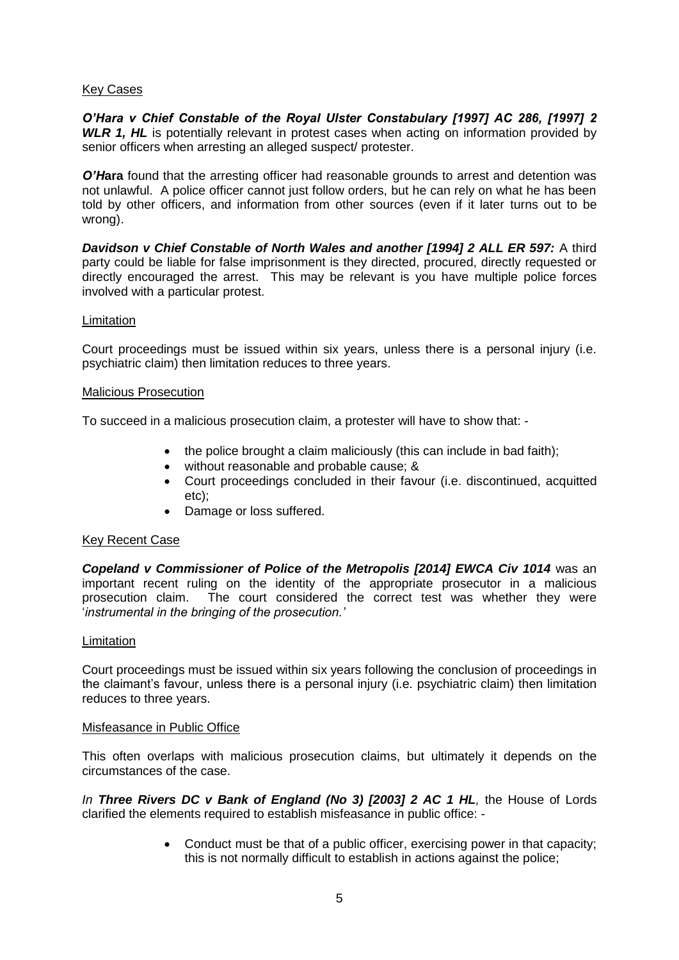## Key Cases

*O'Hara v Chief Constable of the Royal Ulster Constabulary [1997] AC 286, [1997] 2*  **WLR 1, HL** is potentially relevant in protest cases when acting on information provided by senior officers when arresting an alleged suspect/ protester.

*O'Hara* found that the arresting officer had reasonable grounds to arrest and detention was not unlawful. A police officer cannot just follow orders, but he can rely on what he has been told by other officers, and information from other sources (even if it later turns out to be wrong).

**Davidson v Chief Constable of North Wales and another [1994] 2 ALL ER 597:** A third party could be liable for false imprisonment is they directed, procured, directly requested or directly encouraged the arrest. This may be relevant is you have multiple police forces involved with a particular protest.

#### **Limitation**

Court proceedings must be issued within six years, unless there is a personal injury (i.e. psychiatric claim) then limitation reduces to three years.

#### Malicious Prosecution

To succeed in a malicious prosecution claim, a protester will have to show that: -

- the police brought a claim maliciously (this can include in bad faith):
- without reasonable and probable cause; &
- Court proceedings concluded in their favour (i.e. discontinued, acquitted etc);
- Damage or loss suffered.

#### Key Recent Case

*Copeland v Commissioner of Police of the Metropolis [2014] EWCA Civ 1014* was an important recent ruling on the identity of the appropriate prosecutor in a malicious prosecution claim. The court considered the correct test was whether they were '*instrumental in the bringing of the prosecution.'*

#### **Limitation**

Court proceedings must be issued within six years following the conclusion of proceedings in the claimant's favour, unless there is a personal injury (i.e. psychiatric claim) then limitation reduces to three years.

#### Misfeasance in Public Office

This often overlaps with malicious prosecution claims, but ultimately it depends on the circumstances of the case.

*In Three Rivers DC v Bank of England (No 3) [2003] 2 AC 1 HL,* the House of Lords clarified the elements required to establish misfeasance in public office: -

> Conduct must be that of a public officer, exercising power in that capacity; this is not normally difficult to establish in actions against the police;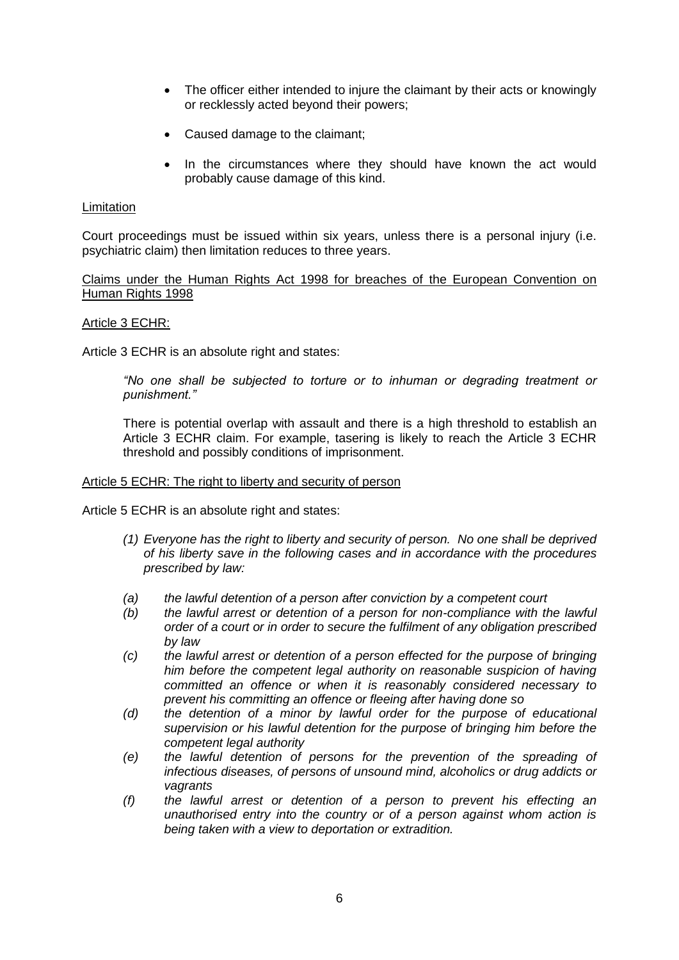- The officer either intended to injure the claimant by their acts or knowingly or recklessly acted beyond their powers;
- Caused damage to the claimant;
- In the circumstances where they should have known the act would probably cause damage of this kind.

### **Limitation**

Court proceedings must be issued within six years, unless there is a personal injury (i.e. psychiatric claim) then limitation reduces to three years.

Claims under the Human Rights Act 1998 for breaches of the European Convention on Human Rights 1998

#### Article 3 ECHR:

Article 3 ECHR is an absolute right and states:

*"No one shall be subjected to torture or to inhuman or degrading treatment or punishment."*

There is potential overlap with assault and there is a high threshold to establish an Article 3 ECHR claim. For example, tasering is likely to reach the Article 3 ECHR threshold and possibly conditions of imprisonment.

#### Article 5 ECHR: The right to liberty and security of person

Article 5 ECHR is an absolute right and states:

- *(1) Everyone has the right to liberty and security of person. No one shall be deprived of his liberty save in the following cases and in accordance with the procedures prescribed by law:*
- *(a) the lawful detention of a person after conviction by a competent court*
- *(b) the lawful arrest or detention of a person for non-compliance with the lawful order of a court or in order to secure the fulfilment of any obligation prescribed by law*
- *(c) the lawful arrest or detention of a person effected for the purpose of bringing him before the competent legal authority on reasonable suspicion of having committed an offence or when it is reasonably considered necessary to prevent his committing an offence or fleeing after having done so*
- *(d) the detention of a minor by lawful order for the purpose of educational supervision or his lawful detention for the purpose of bringing him before the competent legal authority*
- *(e) the lawful detention of persons for the prevention of the spreading of infectious diseases, of persons of unsound mind, alcoholics or drug addicts or vagrants*
- *(f) the lawful arrest or detention of a person to prevent his effecting an unauthorised entry into the country or of a person against whom action is being taken with a view to deportation or extradition.*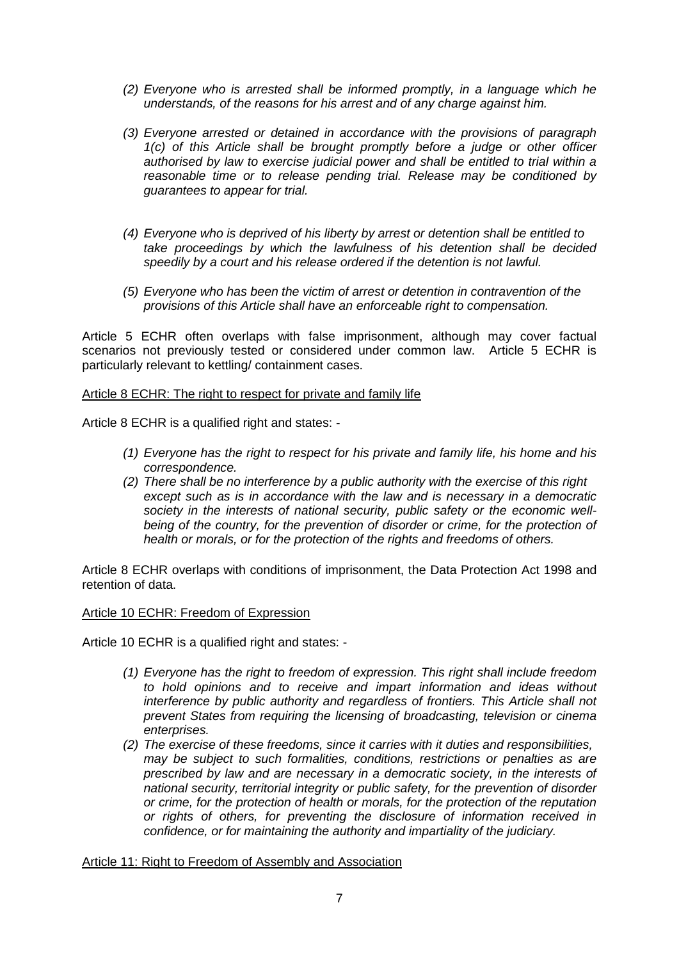- *(2) Everyone who is arrested shall be informed promptly, in a language which he understands, of the reasons for his arrest and of any charge against him.*
- *(3) Everyone arrested or detained in accordance with the provisions of paragraph 1(c) of this Article shall be brought promptly before a judge or other officer authorised by law to exercise judicial power and shall be entitled to trial within a reasonable time or to release pending trial. Release may be conditioned by guarantees to appear for trial.*
- *(4) Everyone who is deprived of his liberty by arrest or detention shall be entitled to take proceedings by which the lawfulness of his detention shall be decided speedily by a court and his release ordered if the detention is not lawful.*
- *(5) Everyone who has been the victim of arrest or detention in contravention of the provisions of this Article shall have an enforceable right to compensation.*

Article 5 ECHR often overlaps with false imprisonment, although may cover factual scenarios not previously tested or considered under common law. Article 5 ECHR is particularly relevant to kettling/ containment cases.

### Article 8 ECHR: The right to respect for private and family life

Article 8 ECHR is a qualified right and states: -

- *(1) Everyone has the right to respect for his private and family life, his home and his correspondence.*
- *(2) There shall be no interference by a public authority with the exercise of this right except such as is in accordance with the law and is necessary in a democratic society in the interests of national security, public safety or the economic well*being of the country, for the prevention of disorder or crime, for the protection of *health or morals, or for the protection of the rights and freedoms of others.*

Article 8 ECHR overlaps with conditions of imprisonment, the Data Protection Act 1998 and retention of data.

#### Article 10 ECHR: Freedom of Expression

Article 10 ECHR is a qualified right and states: -

- *(1) Everyone has the right to freedom of expression. This right shall include freedom to hold opinions and to receive and impart information and ideas without interference by public authority and regardless of frontiers. This Article shall not prevent States from requiring the licensing of broadcasting, television or cinema enterprises.*
- *(2) The exercise of these freedoms, since it carries with it duties and responsibilities, may be subject to such formalities, conditions, restrictions or penalties as are prescribed by law and are necessary in a democratic society, in the interests of national security, territorial integrity or public safety, for the prevention of disorder or crime, for the protection of health or morals, for the protection of the reputation or rights of others, for preventing the disclosure of information received in confidence, or for maintaining the authority and impartiality of the judiciary.*

#### Article 11: Right to Freedom of Assembly and Association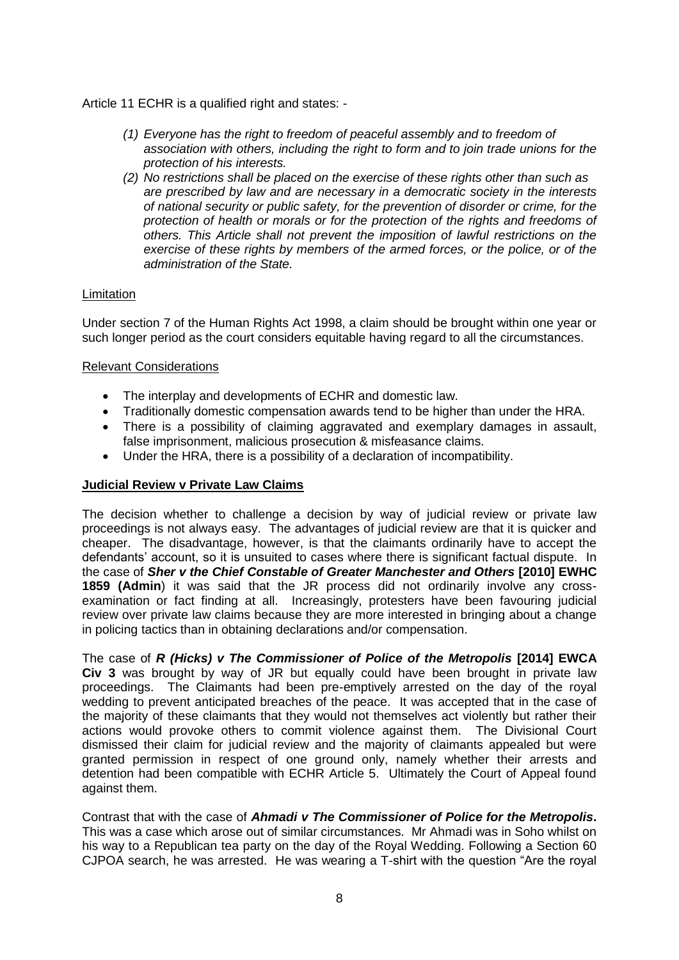Article 11 ECHR is a qualified right and states: -

- *(1) Everyone has the right to freedom of peaceful assembly and to freedom of association with others, including the right to form and to join trade unions for the protection of his interests.*
- *(2) No restrictions shall be placed on the exercise of these rights other than such as are prescribed by law and are necessary in a democratic society in the interests of national security or public safety, for the prevention of disorder or crime, for the protection of health or morals or for the protection of the rights and freedoms of others. This Article shall not prevent the imposition of lawful restrictions on the exercise of these rights by members of the armed forces, or the police, or of the administration of the State.*

# **Limitation**

Under section 7 of the Human Rights Act 1998, a claim should be brought within one year or such longer period as the court considers equitable having regard to all the circumstances.

# Relevant Considerations

- The interplay and developments of ECHR and domestic law.
- Traditionally domestic compensation awards tend to be higher than under the HRA.
- There is a possibility of claiming aggravated and exemplary damages in assault, false imprisonment, malicious prosecution & misfeasance claims.
- Under the HRA, there is a possibility of a declaration of incompatibility.

### **Judicial Review v Private Law Claims**

The decision whether to challenge a decision by way of judicial review or private law proceedings is not always easy. The advantages of judicial review are that it is quicker and cheaper. The disadvantage, however, is that the claimants ordinarily have to accept the defendants' account, so it is unsuited to cases where there is significant factual dispute. In the case of *Sher v the Chief Constable of Greater Manchester and Others* **[2010] EWHC 1859 (Admin**) it was said that the JR process did not ordinarily involve any crossexamination or fact finding at all. Increasingly, protesters have been favouring judicial review over private law claims because they are more interested in bringing about a change in policing tactics than in obtaining declarations and/or compensation.

The case of *R* (Hicks) v The Commissioner of Police of the Metropolis [2014] EWCA **Civ 3** was brought by way of JR but equally could have been brought in private law proceedings. The Claimants had been pre-emptively arrested on the day of the royal wedding to prevent anticipated breaches of the peace. It was accepted that in the case of the majority of these claimants that they would not themselves act violently but rather their actions would provoke others to commit violence against them. The Divisional Court dismissed their claim for judicial review and the majority of claimants appealed but were granted permission in respect of one ground only, namely whether their arrests and detention had been compatible with ECHR Article 5. Ultimately the Court of Appeal found against them.

Contrast that with the case of *Ahmadi v The Commissioner of Police for the Metropolis***.**  This was a case which arose out of similar circumstances. Mr Ahmadi was in Soho whilst on his way to a Republican tea party on the day of the Royal Wedding. Following a Section 60 CJPOA search, he was arrested. He was wearing a T-shirt with the question "Are the royal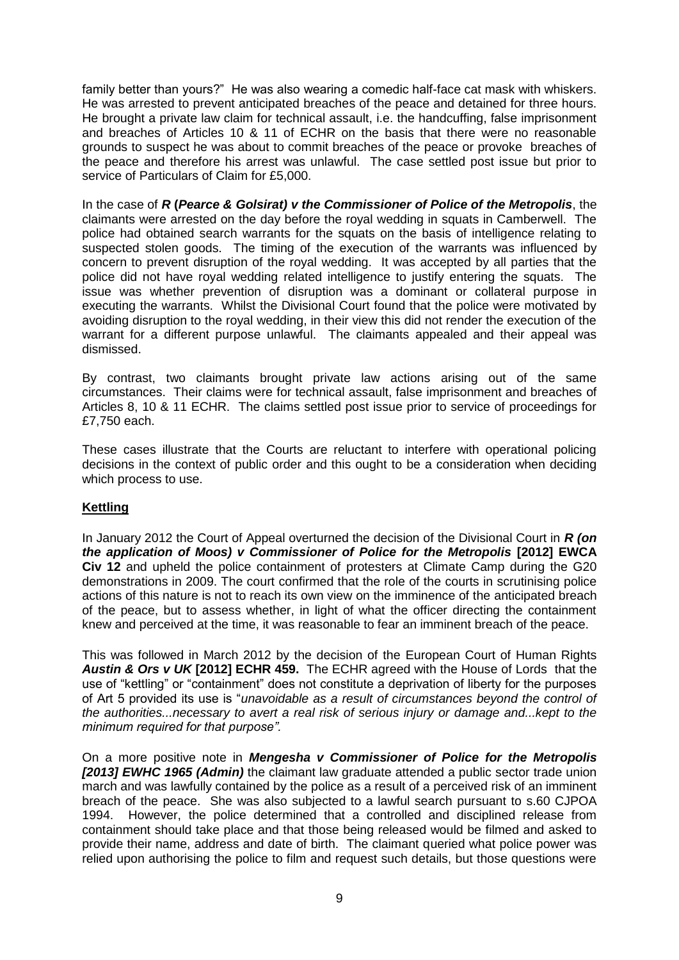family better than yours?" He was also wearing a comedic half-face cat mask with whiskers. He was arrested to prevent anticipated breaches of the peace and detained for three hours. He brought a private law claim for technical assault, i.e. the handcuffing, false imprisonment and breaches of Articles 10 & 11 of ECHR on the basis that there were no reasonable grounds to suspect he was about to commit breaches of the peace or provoke breaches of the peace and therefore his arrest was unlawful. The case settled post issue but prior to service of Particulars of Claim for £5,000.

In the case of *R* **(***Pearce & Golsirat) v the Commissioner of Police of the Metropolis*, the claimants were arrested on the day before the royal wedding in squats in Camberwell. The police had obtained search warrants for the squats on the basis of intelligence relating to suspected stolen goods. The timing of the execution of the warrants was influenced by concern to prevent disruption of the royal wedding. It was accepted by all parties that the police did not have royal wedding related intelligence to justify entering the squats. The issue was whether prevention of disruption was a dominant or collateral purpose in executing the warrants. Whilst the Divisional Court found that the police were motivated by avoiding disruption to the royal wedding, in their view this did not render the execution of the warrant for a different purpose unlawful. The claimants appealed and their appeal was dismissed.

By contrast, two claimants brought private law actions arising out of the same circumstances. Their claims were for technical assault, false imprisonment and breaches of Articles 8, 10 & 11 ECHR. The claims settled post issue prior to service of proceedings for £7,750 each.

These cases illustrate that the Courts are reluctant to interfere with operational policing decisions in the context of public order and this ought to be a consideration when deciding which process to use.

# **Kettling**

In January 2012 the Court of Appeal overturned the decision of the Divisional Court in *R (on the application of Moos) v Commissioner of Police for the Metropolis* **[2012] EWCA Civ 12** and upheld the police containment of protesters at Climate Camp during the G20 demonstrations in 2009. The court confirmed that the role of the courts in scrutinising police actions of this nature is not to reach its own view on the imminence of the anticipated breach of the peace, but to assess whether, in light of what the officer directing the containment knew and perceived at the time, it was reasonable to fear an imminent breach of the peace.

This was followed in March 2012 by the decision of the European Court of Human Rights *Austin & Ors v UK* **[2012] ECHR 459.** The ECHR agreed with the House of Lords that the use of "kettling" or "containment" does not constitute a deprivation of liberty for the purposes of Art 5 provided its use is "*unavoidable as a result of circumstances beyond the control of the authorities...necessary to avert a real risk of serious injury or damage and...kept to the minimum required for that purpose".*

On a more positive note in *Mengesha v Commissioner of Police for the Metropolis [2013] EWHC 1965 (Admin)* the claimant law graduate attended a public sector trade union march and was lawfully contained by the police as a result of a perceived risk of an imminent breach of the peace. She was also subjected to a lawful search pursuant to s.60 CJPOA 1994. However, the police determined that a controlled and disciplined release from containment should take place and that those being released would be filmed and asked to provide their name, address and date of birth. The claimant queried what police power was relied upon authorising the police to film and request such details, but those questions were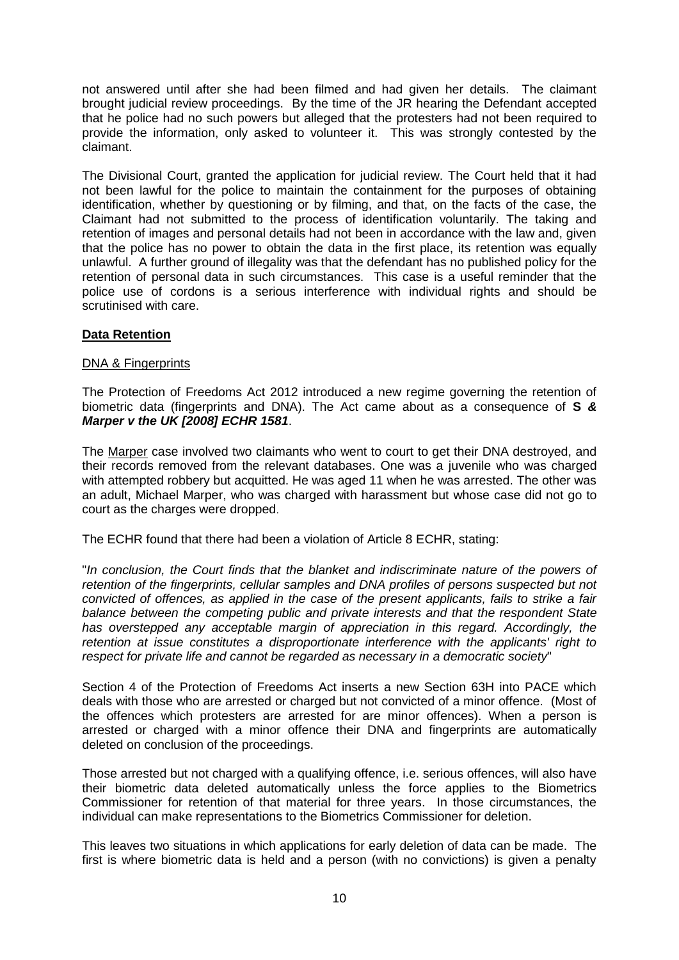not answered until after she had been filmed and had given her details. The claimant brought judicial review proceedings. By the time of the JR hearing the Defendant accepted that he police had no such powers but alleged that the protesters had not been required to provide the information, only asked to volunteer it. This was strongly contested by the claimant.

The Divisional Court, granted the application for judicial review. The Court held that it had not been lawful for the police to maintain the containment for the purposes of obtaining identification, whether by questioning or by filming, and that, on the facts of the case, the Claimant had not submitted to the process of identification voluntarily. The taking and retention of images and personal details had not been in accordance with the law and, given that the police has no power to obtain the data in the first place, its retention was equally unlawful. A further ground of illegality was that the defendant has no published policy for the retention of personal data in such circumstances. This case is a useful reminder that the police use of cordons is a serious interference with individual rights and should be scrutinised with care.

# **Data Retention**

# DNA & Fingerprints

The Protection of Freedoms Act 2012 introduced a new regime governing the retention of biometric data (fingerprints and DNA). The Act came about as a consequence of **S** *& Marper v the UK [2008] ECHR 1581*.

The Marper case involved two claimants who went to court to get their DNA destroyed, and their records removed from the relevant databases. One was a juvenile who was charged with attempted robbery but acquitted. He was aged 11 when he was arrested. The other was an adult, Michael Marper, who was charged with harassment but whose case did not go to court as the charges were dropped.

The ECHR found that there had been a violation of Article 8 ECHR, stating:

"*In conclusion, the Court finds that the blanket and indiscriminate nature of the powers of retention of the fingerprints, cellular samples and DNA profiles of persons suspected but not convicted of offences, as applied in the case of the present applicants, fails to strike a fair balance between the competing public and private interests and that the respondent State*  has overstepped any acceptable margin of appreciation in this regard. Accordingly, the *retention at issue constitutes a disproportionate interference with the applicants' right to respect for private life and cannot be regarded as necessary in a democratic society*"

Section 4 of the Protection of Freedoms Act inserts a new Section 63H into PACE which deals with those who are arrested or charged but not convicted of a minor offence. (Most of the offences which protesters are arrested for are minor offences). When a person is arrested or charged with a minor offence their DNA and fingerprints are automatically deleted on conclusion of the proceedings.

Those arrested but not charged with a qualifying offence, i.e. serious offences, will also have their biometric data deleted automatically unless the force applies to the Biometrics Commissioner for retention of that material for three years. In those circumstances, the individual can make representations to the Biometrics Commissioner for deletion.

This leaves two situations in which applications for early deletion of data can be made. The first is where biometric data is held and a person (with no convictions) is given a penalty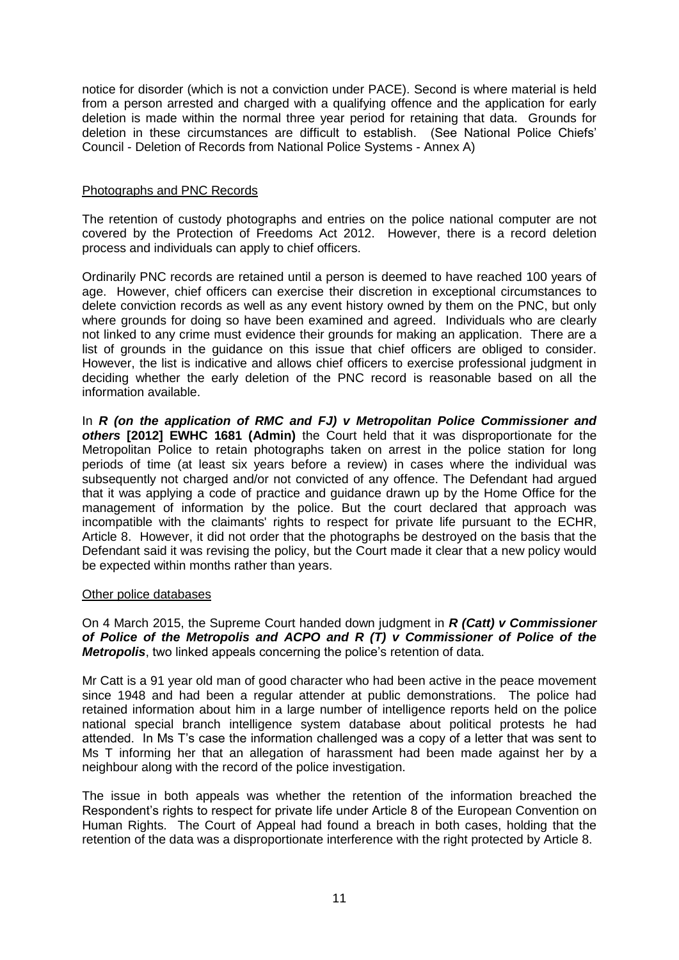notice for disorder (which is not a conviction under PACE). Second is where material is held from a person arrested and charged with a qualifying offence and the application for early deletion is made within the normal three year period for retaining that data. Grounds for deletion in these circumstances are difficult to establish. (See National Police Chiefs' Council - Deletion of Records from National Police Systems - Annex A)

## Photographs and PNC Records

The retention of custody photographs and entries on the police national computer are not covered by the Protection of Freedoms Act 2012. However, there is a record deletion process and individuals can apply to chief officers.

Ordinarily PNC records are retained until a person is deemed to have reached 100 years of age. However, chief officers can exercise their discretion in exceptional circumstances to delete conviction records as well as any event history owned by them on the PNC, but only where grounds for doing so have been examined and agreed. Individuals who are clearly not linked to any crime must evidence their grounds for making an application. There are a list of grounds in the guidance on this issue that chief officers are obliged to consider. However, the list is indicative and allows chief officers to exercise professional judgment in deciding whether the early deletion of the PNC record is reasonable based on all the information available.

In *R* (on the application of RMC and FJ) v Metropolitan Police Commissioner and *others* **[2012] EWHC 1681 (Admin)** the Court held that it was disproportionate for the Metropolitan Police to retain photographs taken on arrest in the police station for long periods of time (at least six years before a review) in cases where the individual was subsequently not charged and/or not convicted of any offence. The Defendant had argued that it was applying a code of practice and guidance drawn up by the Home Office for the management of information by the police. But the court declared that approach was incompatible with the claimants' rights to respect for private life pursuant to the ECHR, Article 8. However, it did not order that the photographs be destroyed on the basis that the Defendant said it was revising the policy, but the Court made it clear that a new policy would be expected within months rather than years.

#### Other police databases

On 4 March 2015, the Supreme Court handed down judgment in *R (Catt) v Commissioner of Police of the Metropolis and ACPO and R (T) v Commissioner of Police of the Metropolis*, two linked appeals concerning the police's retention of data.

Mr Catt is a 91 year old man of good character who had been active in the peace movement since 1948 and had been a regular attender at public demonstrations. The police had retained information about him in a large number of intelligence reports held on the police national special branch intelligence system database about political protests he had attended. In Ms T's case the information challenged was a copy of a letter that was sent to Ms T informing her that an allegation of harassment had been made against her by a neighbour along with the record of the police investigation.

The issue in both appeals was whether the retention of the information breached the Respondent's rights to respect for private life under Article 8 of the European Convention on Human Rights. The Court of Appeal had found a breach in both cases, holding that the retention of the data was a disproportionate interference with the right protected by Article 8.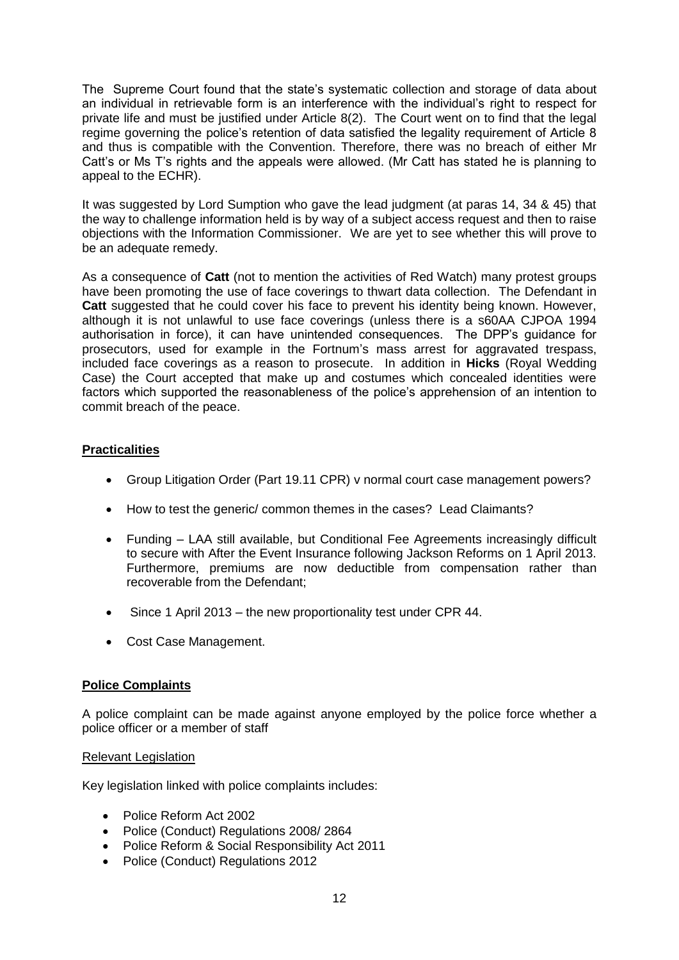The Supreme Court found that the state's systematic collection and storage of data about an individual in retrievable form is an interference with the individual's right to respect for private life and must be justified under Article 8(2). The Court went on to find that the legal regime governing the police's retention of data satisfied the legality requirement of Article 8 and thus is compatible with the Convention. Therefore, there was no breach of either Mr Catt's or Ms T's rights and the appeals were allowed. (Mr Catt has stated he is planning to appeal to the ECHR).

It was suggested by Lord Sumption who gave the lead judgment (at paras 14, 34 & 45) that the way to challenge information held is by way of a subject access request and then to raise objections with the Information Commissioner. We are yet to see whether this will prove to be an adequate remedy.

As a consequence of **Catt** (not to mention the activities of Red Watch) many protest groups have been promoting the use of face coverings to thwart data collection. The Defendant in **Catt** suggested that he could cover his face to prevent his identity being known. However, although it is not unlawful to use face coverings (unless there is a s60AA CJPOA 1994 authorisation in force), it can have unintended consequences. The DPP's guidance for prosecutors, used for example in the Fortnum's mass arrest for aggravated trespass, included face coverings as a reason to prosecute. In addition in **Hicks** (Royal Wedding Case) the Court accepted that make up and costumes which concealed identities were factors which supported the reasonableness of the police's apprehension of an intention to commit breach of the peace.

# **Practicalities**

- Group Litigation Order (Part 19.11 CPR) v normal court case management powers?
- How to test the generic/ common themes in the cases? Lead Claimants?
- Funding LAA still available, but Conditional Fee Agreements increasingly difficult to secure with After the Event Insurance following Jackson Reforms on 1 April 2013. Furthermore, premiums are now deductible from compensation rather than recoverable from the Defendant;
- Since 1 April 2013 the new proportionality test under CPR 44.
- Cost Case Management.

# **Police Complaints**

A police complaint can be made against anyone employed by the police force whether a police officer or a member of staff

# Relevant Legislation

Key legislation linked with police complaints includes:

- Police Reform Act 2002
- Police (Conduct) Regulations 2008/2864
- Police Reform & Social Responsibility Act 2011
- Police (Conduct) Regulations 2012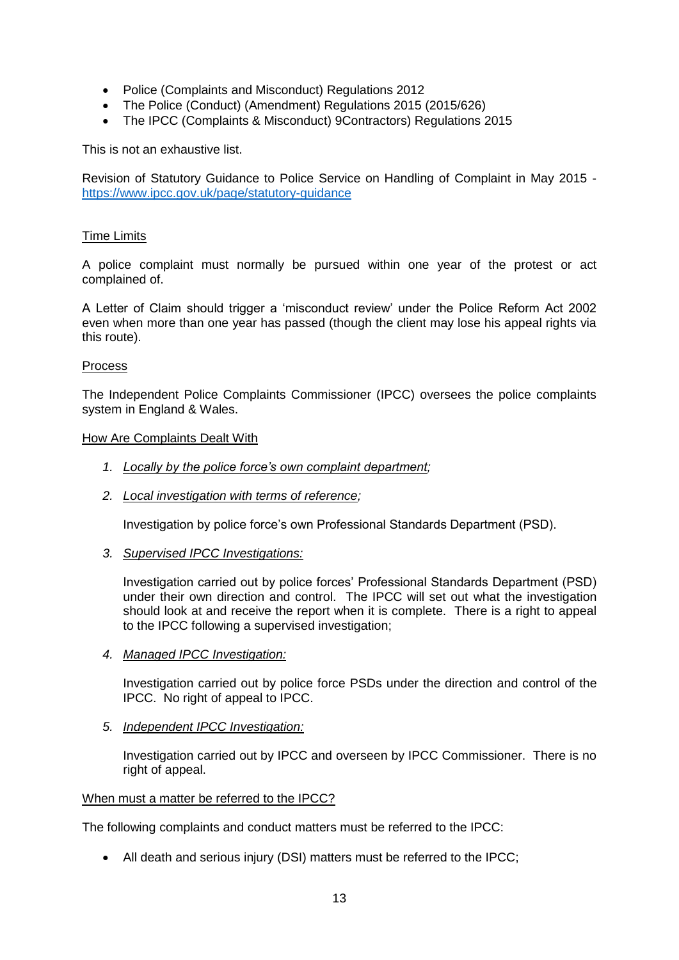- Police (Complaints and Misconduct) Regulations 2012
- The Police (Conduct) (Amendment) Regulations 2015 (2015/626)
- The IPCC (Complaints & Misconduct) 9Contractors) Regulations 2015

This is not an exhaustive list.

Revision of Statutory Guidance to Police Service on Handling of Complaint in May 2015 <https://www.ipcc.gov.uk/page/statutory-guidance>

### Time Limits

A police complaint must normally be pursued within one year of the protest or act complained of.

A Letter of Claim should trigger a 'misconduct review' under the Police Reform Act 2002 even when more than one year has passed (though the client may lose his appeal rights via this route).

#### Process

The Independent Police Complaints Commissioner (IPCC) oversees the police complaints system in England & Wales.

#### How Are Complaints Dealt With

- *1. Locally by the police force's own complaint department;*
- *2. Local investigation with terms of reference;*

Investigation by police force's own Professional Standards Department (PSD).

*3. Supervised IPCC Investigations:* 

Investigation carried out by police forces' Professional Standards Department (PSD) under their own direction and control. The IPCC will set out what the investigation should look at and receive the report when it is complete. There is a right to appeal to the IPCC following a supervised investigation;

*4. Managed IPCC Investigation:*

Investigation carried out by police force PSDs under the direction and control of the IPCC. No right of appeal to IPCC.

*5. Independent IPCC Investigation:*

Investigation carried out by IPCC and overseen by IPCC Commissioner. There is no right of appeal.

### When must a matter be referred to the IPCC?

The following complaints and conduct matters must be referred to the IPCC:

All death and serious injury (DSI) matters must be referred to the IPCC;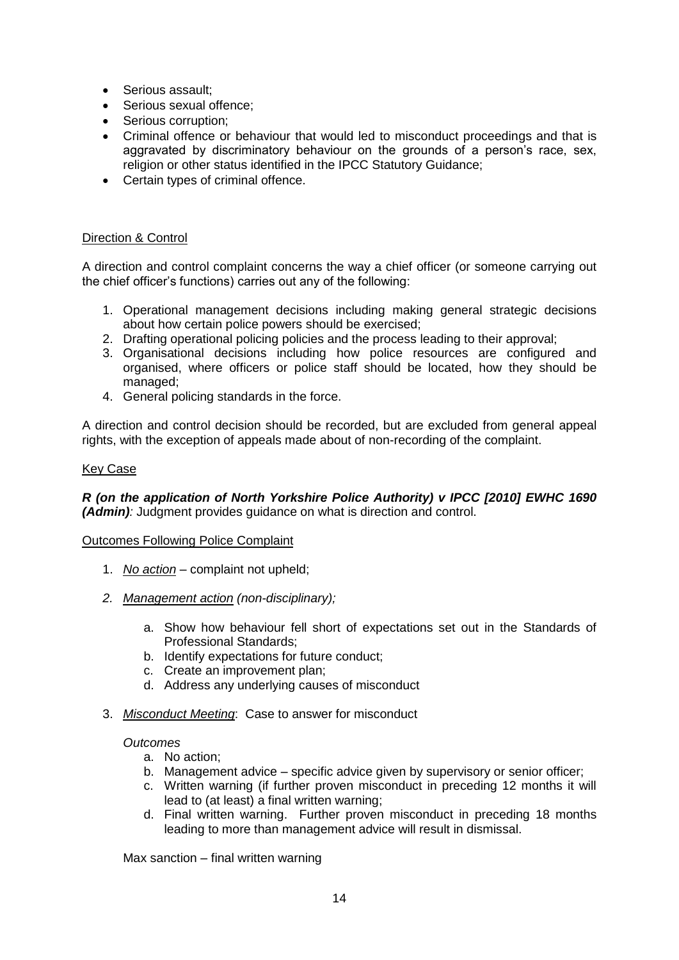- Serious assault;
- Serious sexual offence:
- Serious corruption:
- Criminal offence or behaviour that would led to misconduct proceedings and that is aggravated by discriminatory behaviour on the grounds of a person's race, sex, religion or other status identified in the IPCC Statutory Guidance;
- Certain types of criminal offence.

# Direction & Control

A direction and control complaint concerns the way a chief officer (or someone carrying out the chief officer's functions) carries out any of the following:

- 1. Operational management decisions including making general strategic decisions about how certain police powers should be exercised;
- 2. Drafting operational policing policies and the process leading to their approval;
- 3. Organisational decisions including how police resources are configured and organised, where officers or police staff should be located, how they should be managed;
- 4. General policing standards in the force.

A direction and control decision should be recorded, but are excluded from general appeal rights, with the exception of appeals made about of non-recording of the complaint.

#### Key Case

*R (on the application of North Yorkshire Police Authority) v IPCC [2010] EWHC 1690 (Admin):* Judgment provides guidance on what is direction and control.

#### Outcomes Following Police Complaint

- 1. *No action* complaint not upheld;
- *2. Management action (non-disciplinary);*
	- a. Show how behaviour fell short of expectations set out in the Standards of Professional Standards;
	- b. Identify expectations for future conduct;
	- c. Create an improvement plan;
	- d. Address any underlying causes of misconduct
- 3. *Misconduct Meeting*: Case to answer for misconduct

### *Outcomes*

- a. No action;
- b. Management advice specific advice given by supervisory or senior officer;
- c. Written warning (if further proven misconduct in preceding 12 months it will lead to (at least) a final written warning;
- d. Final written warning. Further proven misconduct in preceding 18 months leading to more than management advice will result in dismissal.

Max sanction – final written warning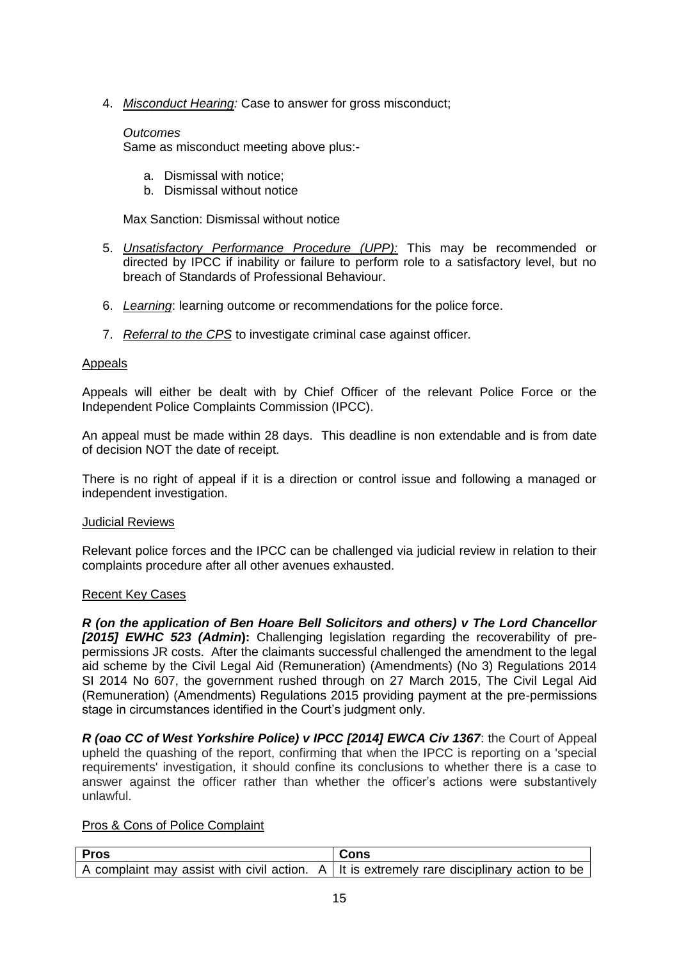4. *Misconduct Hearing:* Case to answer for gross misconduct;

# *Outcomes*

Same as misconduct meeting above plus:-

- a. Dismissal with notice;
- b. Dismissal without notice

Max Sanction: Dismissal without notice

- 5. *Unsatisfactory Performance Procedure (UPP):* This may be recommended or directed by IPCC if inability or failure to perform role to a satisfactory level, but no breach of Standards of Professional Behaviour.
- 6. *Learning*: learning outcome or recommendations for the police force.
- 7. *Referral to the CPS* to investigate criminal case against officer.

### Appeals

Appeals will either be dealt with by Chief Officer of the relevant Police Force or the Independent Police Complaints Commission (IPCC).

An appeal must be made within 28 days. This deadline is non extendable and is from date of decision NOT the date of receipt.

There is no right of appeal if it is a direction or control issue and following a managed or independent investigation.

#### Judicial Reviews

Relevant police forces and the IPCC can be challenged via judicial review in relation to their complaints procedure after all other avenues exhausted.

# Recent Key Cases

*R (on the application of Ben Hoare Bell Solicitors and others) v The Lord Chancellor [2015] EWHC 523 (Admin***):** Challenging legislation regarding the recoverability of prepermissions JR costs. After the claimants successful challenged the amendment to the legal aid scheme by the Civil Legal Aid (Remuneration) (Amendments) (No 3) Regulations 2014 SI 2014 No 607, the government rushed through on 27 March 2015, The Civil Legal Aid (Remuneration) (Amendments) Regulations 2015 providing payment at the pre-permissions stage in circumstances identified in the Court's judgment only.

*R (oao CC of West Yorkshire Police) v IPCC [2014] EWCA Civ 1367*: the Court of Appeal upheld the quashing of the report, confirming that when the IPCC is reporting on a 'special requirements' investigation, it should confine its conclusions to whether there is a case to answer against the officer rather than whether the officer's actions were substantively unlawful.

### Pros & Cons of Police Complaint

| Pros | Cons                                                                                                |
|------|-----------------------------------------------------------------------------------------------------|
|      | A complaint may assist with civil action. $A \mid t$ it is extremely rare disciplinary action to be |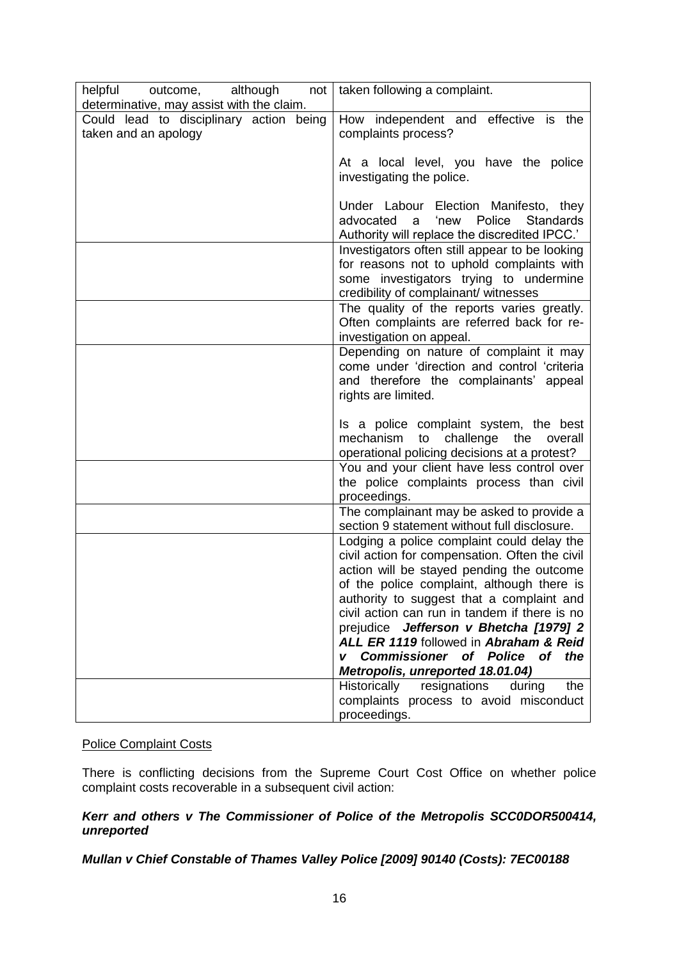| helpful outcome, although<br>not                                | taken following a complaint.                                                                                                                                                                                                                                                          |
|-----------------------------------------------------------------|---------------------------------------------------------------------------------------------------------------------------------------------------------------------------------------------------------------------------------------------------------------------------------------|
| determinative, may assist with the claim.                       | How independent and effective is the                                                                                                                                                                                                                                                  |
| Could lead to disciplinary action being<br>taken and an apology | complaints process?                                                                                                                                                                                                                                                                   |
|                                                                 | At a local level, you have the police<br>investigating the police.                                                                                                                                                                                                                    |
|                                                                 | Under Labour Election Manifesto, they<br>advocated<br>'new<br>Police<br>Standards<br>a<br>Authority will replace the discredited IPCC.'                                                                                                                                               |
|                                                                 | Investigators often still appear to be looking<br>for reasons not to uphold complaints with<br>some investigators trying to undermine<br>credibility of complainant/ witnesses                                                                                                        |
|                                                                 | The quality of the reports varies greatly.<br>Often complaints are referred back for re-<br>investigation on appeal.                                                                                                                                                                  |
|                                                                 | Depending on nature of complaint it may<br>come under 'direction and control 'criteria<br>and therefore the complainants' appeal<br>rights are limited.                                                                                                                               |
|                                                                 | Is a police complaint system, the best<br>mechanism<br>challenge the<br>to<br>overall<br>operational policing decisions at a protest?                                                                                                                                                 |
|                                                                 | You and your client have less control over<br>the police complaints process than civil<br>proceedings.                                                                                                                                                                                |
|                                                                 | The complainant may be asked to provide a<br>section 9 statement without full disclosure.                                                                                                                                                                                             |
|                                                                 | Lodging a police complaint could delay the<br>civil action for compensation. Often the civil<br>action will be stayed pending the outcome<br>of the police complaint, although there is<br>authority to suggest that a complaint and<br>civil action can run in tandem if there is no |
|                                                                 | prejudice Jefferson v Bhetcha [1979] 2<br>ALL ER 1119 followed in Abraham & Reid                                                                                                                                                                                                      |
|                                                                 | <b>Commissioner of Police</b><br>of the<br>Metropolis, unreported 18.01.04)                                                                                                                                                                                                           |
|                                                                 | Historically<br>resignations<br>the<br>during<br>complaints process to avoid misconduct<br>proceedings.                                                                                                                                                                               |

# Police Complaint Costs

There is conflicting decisions from the Supreme Court Cost Office on whether police complaint costs recoverable in a subsequent civil action:

# *Kerr and others v The Commissioner of Police of the Metropolis SCC0DOR500414, unreported*

# *Mullan v Chief Constable of Thames Valley Police [2009] 90140 (Costs): 7EC00188*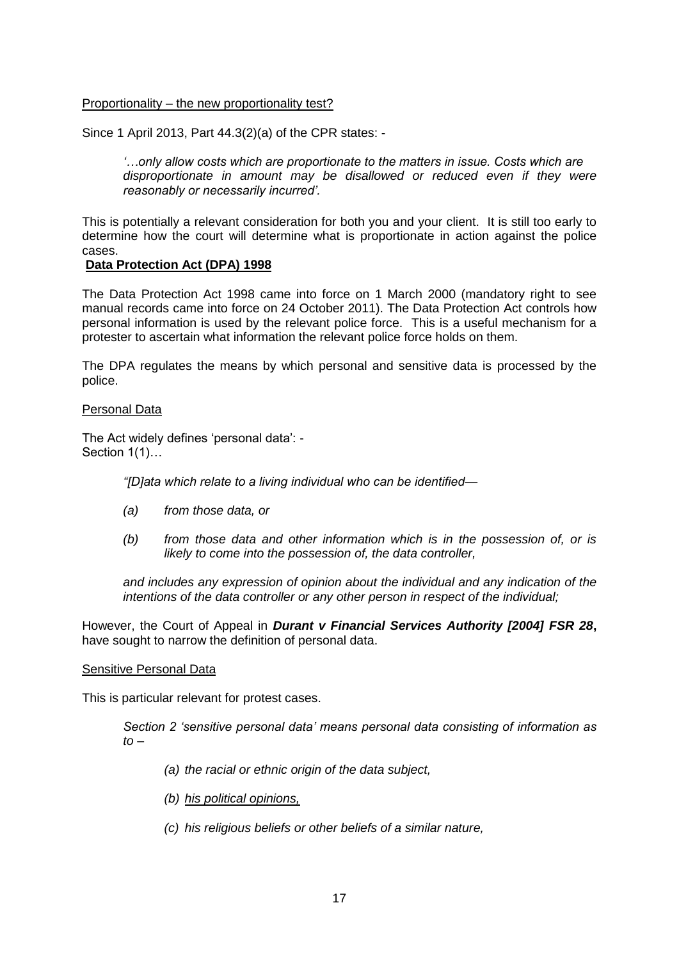### Proportionality – the new proportionality test?

Since 1 April 2013, Part 44.3(2)(a) of the CPR states: -

*'…only allow costs which are proportionate to the matters in issue. Costs which are disproportionate in amount may be disallowed or reduced even if they were reasonably or necessarily incurred'.*

This is potentially a relevant consideration for both you and your client. It is still too early to determine how the court will determine what is proportionate in action against the police cases.

### **Data Protection Act (DPA) 1998**

The Data Protection Act 1998 came into force on 1 March 2000 (mandatory right to see manual records came into force on 24 October 2011). The Data Protection Act controls how personal information is used by the relevant police force. This is a useful mechanism for a protester to ascertain what information the relevant police force holds on them.

The DPA regulates the means by which personal and sensitive data is processed by the police.

### Personal Data

The Act widely defines 'personal data': - Section 1(1)...

*"[D]ata which relate to a living individual who can be identified—*

- *(a) from those data, or*
- *(b) from those data and other information which is in the possession of, or is likely to come into the possession of, the data controller,*

*and includes any expression of opinion about the individual and any indication of the intentions of the data controller or any other person in respect of the individual;*

However, the Court of Appeal in *Durant v Financial Services Authority [2004] FSR 28***,**  have sought to narrow the definition of personal data.

#### Sensitive Personal Data

This is particular relevant for protest cases.

*Section 2 'sensitive personal data' means personal data consisting of information as to –*

- *(a) the racial or ethnic origin of the data subject,*
- *(b) his political opinions,*
- *(c) his religious beliefs or other beliefs of a similar nature,*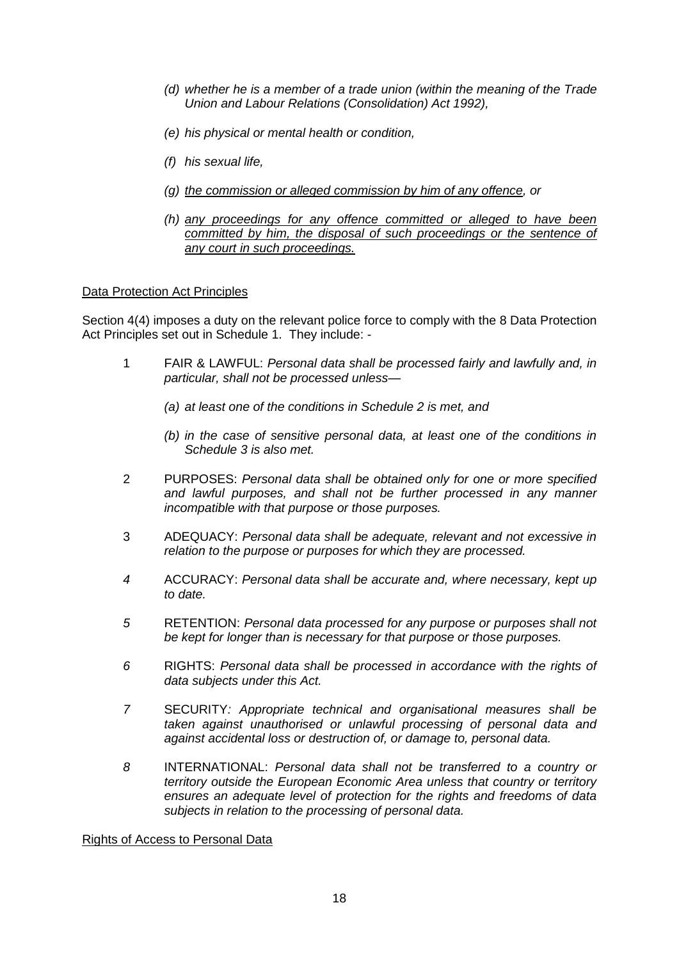- *(d) whether he is a member of a trade union (within the meaning of the Trade Union and Labour Relations (Consolidation) Act 1992),*
- *(e) his physical or mental health or condition,*
- *(f) his sexual life,*
- *(g) the commission or alleged commission by him of any offence, or*
- *(h) any proceedings for any offence committed or alleged to have been committed by him, the disposal of such proceedings or the sentence of any court in such proceedings.*

#### Data Protection Act Principles

Section 4(4) imposes a duty on the relevant police force to comply with the 8 Data Protection Act Principles set out in Schedule 1. They include: -

- 1 FAIR & LAWFUL: *Personal data shall be processed fairly and lawfully and, in particular, shall not be processed unless—*
	- *(a) at least one of the conditions in Schedule 2 is met, and*
	- *(b) in the case of sensitive personal data, at least one of the conditions in Schedule 3 is also met.*
- 2 PURPOSES: *Personal data shall be obtained only for one or more specified and lawful purposes, and shall not be further processed in any manner incompatible with that purpose or those purposes.*
- 3 ADEQUACY: *Personal data shall be adequate, relevant and not excessive in relation to the purpose or purposes for which they are processed.*
- *4* ACCURACY: *Personal data shall be accurate and, where necessary, kept up to date.*
- *5* RETENTION: *Personal data processed for any purpose or purposes shall not be kept for longer than is necessary for that purpose or those purposes.*
- *6* RIGHTS: *Personal data shall be processed in accordance with the rights of data subjects under this Act.*
- *7* SECURITY*: Appropriate technical and organisational measures shall be taken against unauthorised or unlawful processing of personal data and against accidental loss or destruction of, or damage to, personal data.*
- *8* INTERNATIONAL: *Personal data shall not be transferred to a country or territory outside the European Economic Area unless that country or territory ensures an adequate level of protection for the rights and freedoms of data subjects in relation to the processing of personal data.*

Rights of Access to Personal Data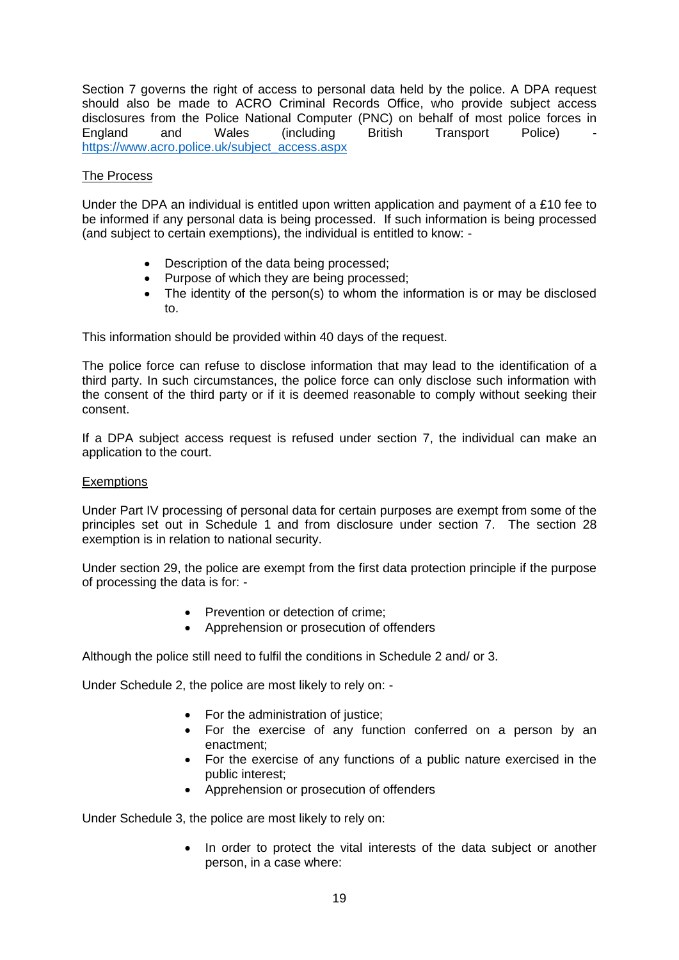Section 7 governs the right of access to personal data held by the police. A DPA request should also be made to ACRO Criminal Records Office, who provide subject access disclosures from the Police National Computer (PNC) on behalf of most police forces in England and Wales (including British Transport Police) [https://www.acro.police.uk/subject\\_access.aspx](https://www.acro.police.uk/subject_access.aspx)

# The Process

Under the DPA an individual is entitled upon written application and payment of a £10 fee to be informed if any personal data is being processed. If such information is being processed (and subject to certain exemptions), the individual is entitled to know: -

- Description of the data being processed;
- Purpose of which they are being processed;
- The identity of the person(s) to whom the information is or may be disclosed to.

This information should be provided within 40 days of the request.

The police force can refuse to disclose information that may lead to the identification of a third party. In such circumstances, the police force can only disclose such information with the consent of the third party or if it is deemed reasonable to comply without seeking their consent.

If a DPA subject access request is refused under section 7, the individual can make an application to the court.

### **Exemptions**

Under Part IV processing of personal data for certain purposes are exempt from some of the principles set out in Schedule 1 and from disclosure under section 7. The section 28 exemption is in relation to national security.

Under section 29, the police are exempt from the first data protection principle if the purpose of processing the data is for: -

- Prevention or detection of crime:
- Apprehension or prosecution of offenders

Although the police still need to fulfil the conditions in Schedule 2 and/ or 3.

Under Schedule 2, the police are most likely to rely on: -

- For the administration of justice;
- For the exercise of any function conferred on a person by an enactment;
- For the exercise of any functions of a public nature exercised in the public interest;
- Apprehension or prosecution of offenders

Under Schedule 3, the police are most likely to rely on:

 In order to protect the vital interests of the data subject or another person, in a case where: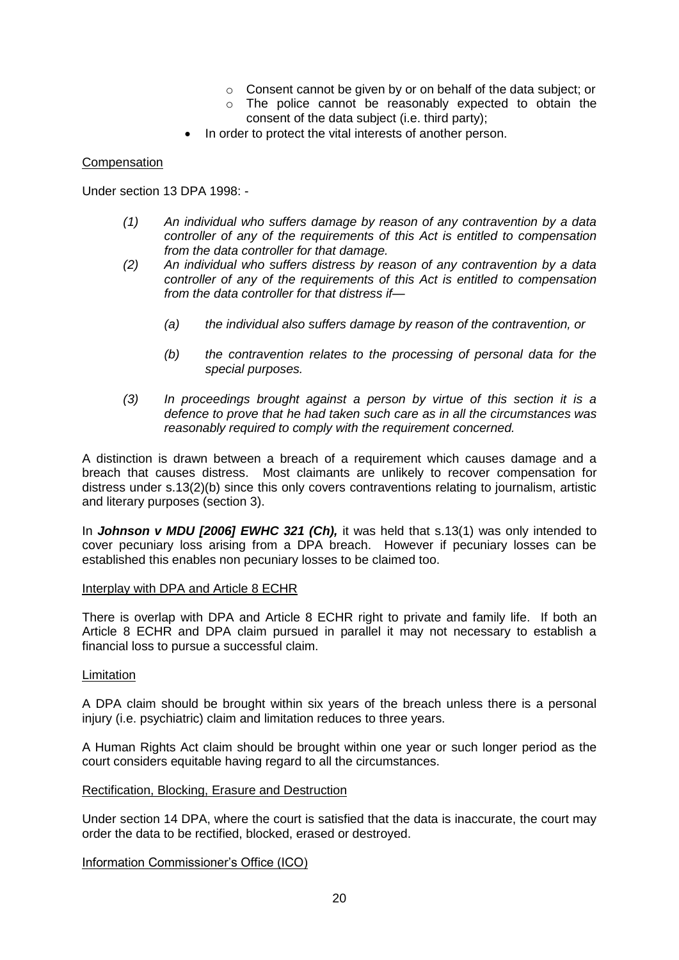- o Consent cannot be given by or on behalf of the data subject; or
- o The police cannot be reasonably expected to obtain the consent of the data subject (i.e. third party);
- In order to protect the vital interests of another person.

### **Compensation**

Under section 13 DPA 1998: -

- *(1) An individual who suffers damage by reason of any contravention by a data controller of any of the requirements of this Act is entitled to compensation from the data controller for that damage.*
- *(2) An individual who suffers distress by reason of any contravention by a data controller of any of the requirements of this Act is entitled to compensation from the data controller for that distress if—*
	- *(a) the individual also suffers damage by reason of the contravention, or*
	- *(b) the contravention relates to the processing of personal data for the special purposes.*
- *(3) In proceedings brought against a person by virtue of this section it is a defence to prove that he had taken such care as in all the circumstances was reasonably required to comply with the requirement concerned.*

A distinction is drawn between a breach of a requirement which causes damage and a breach that causes distress. Most claimants are unlikely to recover compensation for distress under s.13(2)(b) since this only covers contraventions relating to journalism, artistic and literary purposes (section 3).

In *Johnson v MDU [2006] EWHC 321 (Ch),* it was held that s.13(1) was only intended to cover pecuniary loss arising from a DPA breach. However if pecuniary losses can be established this enables non pecuniary losses to be claimed too.

#### Interplay with DPA and Article 8 ECHR

There is overlap with DPA and Article 8 ECHR right to private and family life. If both an Article 8 ECHR and DPA claim pursued in parallel it may not necessary to establish a financial loss to pursue a successful claim.

#### Limitation

A DPA claim should be brought within six years of the breach unless there is a personal injury (i.e. psychiatric) claim and limitation reduces to three years.

A Human Rights Act claim should be brought within one year or such longer period as the court considers equitable having regard to all the circumstances.

#### Rectification, Blocking, Erasure and Destruction

Under section 14 DPA, where the court is satisfied that the data is inaccurate, the court may order the data to be rectified, blocked, erased or destroyed.

Information Commissioner's Office (ICO)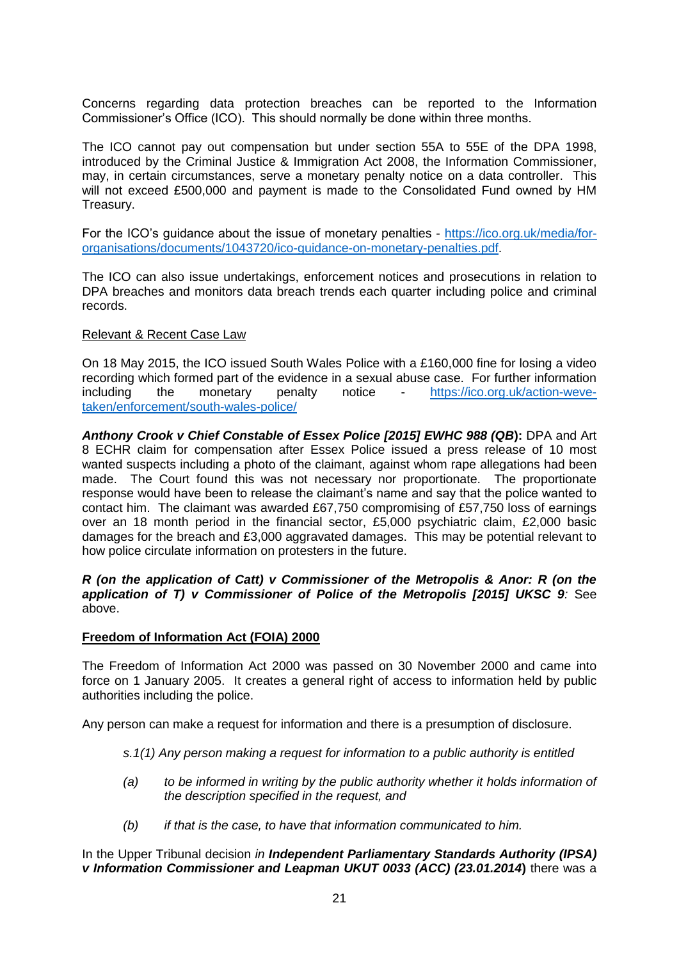Concerns regarding data protection breaches can be reported to the Information Commissioner's Office (ICO). This should normally be done within three months.

The ICO cannot pay out compensation but under section 55A to 55E of the DPA 1998, introduced by the Criminal Justice & Immigration Act 2008, the Information Commissioner, may, in certain circumstances, serve a monetary penalty notice on a data controller. This will not exceed £500,000 and payment is made to the Consolidated Fund owned by HM Treasury.

For the ICO's guidance about the issue of monetary penalties - [https://ico.org.uk/media/for](https://ico.org.uk/media/for-organisations/documents/1043720/ico-guidance-on-monetary-penalties.pdf)[organisations/documents/1043720/ico-guidance-on-monetary-penalties.pdf.](https://ico.org.uk/media/for-organisations/documents/1043720/ico-guidance-on-monetary-penalties.pdf)

The ICO can also issue undertakings, enforcement notices and prosecutions in relation to DPA breaches and monitors data breach trends each quarter including police and criminal records.

### Relevant & Recent Case Law

On 18 May 2015, the ICO issued South Wales Police with a £160,000 fine for losing a video recording which formed part of the evidence in a sexual abuse case. For further information including the monetary penalty notice - [https://ico.org.uk/action-weve](https://ico.org.uk/action-weve-taken/enforcement/south-wales-police/)[taken/enforcement/south-wales-police/](https://ico.org.uk/action-weve-taken/enforcement/south-wales-police/)

*Anthony Crook v Chief Constable of Essex Police [2015] EWHC 988 (QB***):** DPA and Art 8 ECHR claim for compensation after Essex Police issued a press release of 10 most wanted suspects including a photo of the claimant, against whom rape allegations had been made. The Court found this was not necessary nor proportionate. The proportionate response would have been to release the claimant's name and say that the police wanted to contact him. The claimant was awarded £67,750 compromising of £57,750 loss of earnings over an 18 month period in the financial sector, £5,000 psychiatric claim, £2,000 basic damages for the breach and £3,000 aggravated damages. This may be potential relevant to how police circulate information on protesters in the future.

*R (on the application of Catt) v Commissioner of the Metropolis & Anor: R (on the application of T) v Commissioner of Police of the Metropolis [2015] UKSC 9:* See above.

#### **Freedom of Information Act (FOIA) 2000**

The Freedom of Information Act 2000 was passed on 30 November 2000 and came into force on 1 January 2005. It creates a general right of access to information held by public authorities including the police.

Any person can make a request for information and there is a presumption of disclosure.

- *s.1(1) Any person making a request for information to a public authority is entitled*
- *(a) to be informed in writing by the public authority whether it holds information of the description specified in the request, and*
- *(b) if that is the case, to have that information communicated to him.*

In the Upper Tribunal decision *in Independent Parliamentary Standards Authority (IPSA) v Information Commissioner and Leapman UKUT 0033 (ACC) (23.01.2014***)** there was a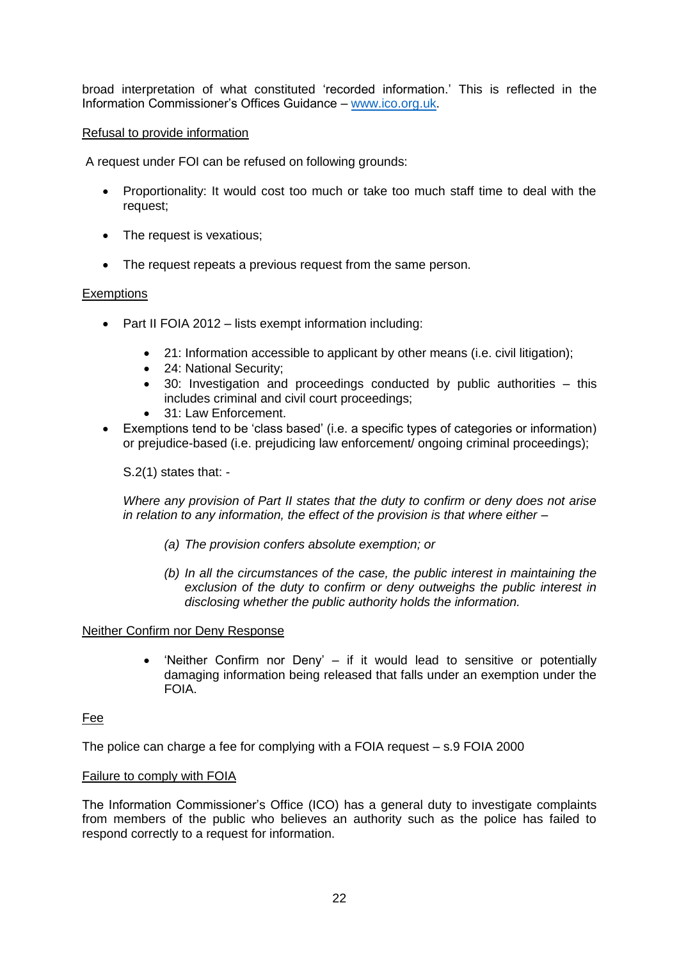broad interpretation of what constituted 'recorded information.' This is reflected in the Information Commissioner's Offices Guidance – [www.ico.org.uk.](http://www.ico.org.uk/)

### Refusal to provide information

A request under FOI can be refused on following grounds:

- Proportionality: It would cost too much or take too much staff time to deal with the request;
- The request is vexatious:
- The request repeats a previous request from the same person.

# **Exemptions**

- Part II FOIA 2012 lists exempt information including:
	- 21: Information accessible to applicant by other means (i.e. civil litigation);
	- 24: National Security;
	- 30: Investigation and proceedings conducted by public authorities this includes criminal and civil court proceedings;
	- 31: Law Enforcement.
- Exemptions tend to be 'class based' (i.e. a specific types of categories or information) or prejudice-based (i.e. prejudicing law enforcement/ ongoing criminal proceedings);

S.2(1) states that: -

*Where any provision of Part II states that the duty to confirm or deny does not arise in relation to any information, the effect of the provision is that where either –*

- *(a) The provision confers absolute exemption; or*
- *(b) In all the circumstances of the case, the public interest in maintaining the exclusion of the duty to confirm or deny outweighs the public interest in disclosing whether the public authority holds the information.*

#### Neither Confirm nor Deny Response

 'Neither Confirm nor Deny' – if it would lead to sensitive or potentially damaging information being released that falls under an exemption under the FOIA.

# Fee

The police can charge a fee for complying with a FOIA request – s.9 FOIA 2000

#### Failure to comply with FOIA

The Information Commissioner's Office (ICO) has a general duty to investigate complaints from members of the public who believes an authority such as the police has failed to respond correctly to a request for information.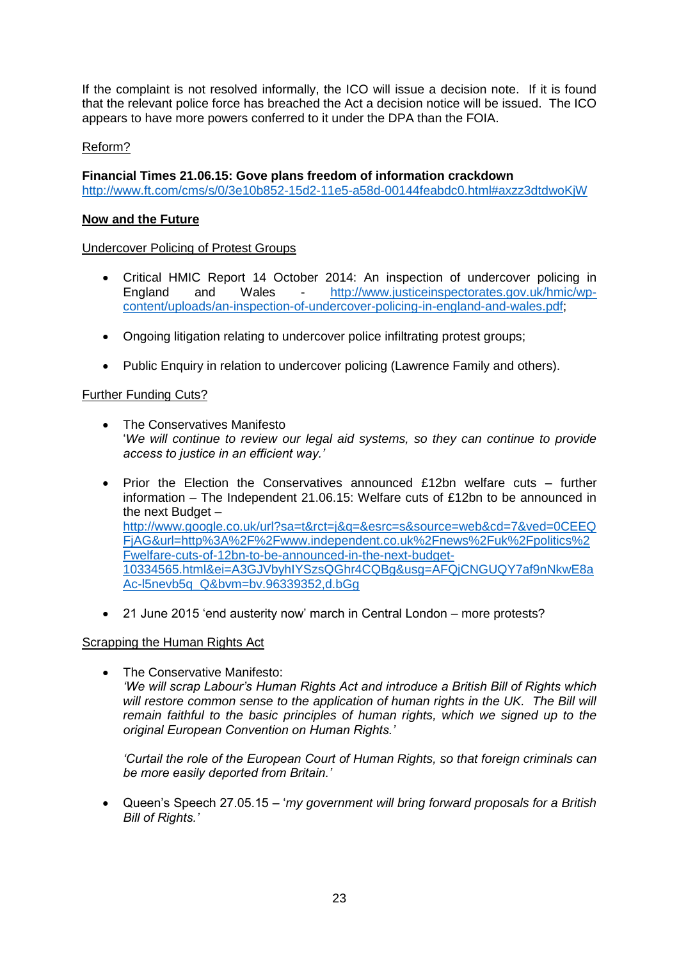If the complaint is not resolved informally, the ICO will issue a decision note. If it is found that the relevant police force has breached the Act a decision notice will be issued. The ICO appears to have more powers conferred to it under the DPA than the FOIA.

# Reform?

**Financial Times 21.06.15: Gove plans freedom of information crackdown** <http://www.ft.com/cms/s/0/3e10b852-15d2-11e5-a58d-00144feabdc0.html#axzz3dtdwoKjW>

# **Now and the Future**

Undercover Policing of Protest Groups

- Critical HMIC Report 14 October 2014: An inspection of undercover policing in England and Wales - [http://www.justiceinspectorates.gov.uk/hmic/wp](http://www.justiceinspectorates.gov.uk/hmic/wp-content/uploads/an-inspection-of-undercover-policing-in-england-and-wales.pdf)[content/uploads/an-inspection-of-undercover-policing-in-england-and-wales.pdf;](http://www.justiceinspectorates.gov.uk/hmic/wp-content/uploads/an-inspection-of-undercover-policing-in-england-and-wales.pdf)
- Ongoing litigation relating to undercover police infiltrating protest groups;
- Public Enquiry in relation to undercover policing (Lawrence Family and others).

### Further Funding Cuts?

- The Conservatives Manifesto '*We will continue to review our legal aid systems, so they can continue to provide access to justice in an efficient way.'*
- Prior the Election the Conservatives announced £12bn welfare cuts further information – The Independent 21.06.15: Welfare cuts of £12bn to be announced in the next Budget – [http://www.google.co.uk/url?sa=t&rct=j&q=&esrc=s&source=web&cd=7&ved=0CEEQ](http://www.google.co.uk/url?sa=t&rct=j&q=&esrc=s&source=web&cd=7&ved=0CEEQFjAG&url=http%3A%2F%2Fwww.independent.co.uk%2Fnews%2Fuk%2Fpolitics%2Fwelfare-cuts-of-12bn-to-be-announced-in-the-next-budget-10334565.html&ei=A3GJVbyhIYSzsQGhr4CQBg&usg=AFQjCNGUQY7af9nNkwE8aAc-l5nevb5q_Q&bvm=bv.96339352,d.bGg) [FjAG&url=http%3A%2F%2Fwww.independent.co.uk%2Fnews%2Fuk%2Fpolitics%2](http://www.google.co.uk/url?sa=t&rct=j&q=&esrc=s&source=web&cd=7&ved=0CEEQFjAG&url=http%3A%2F%2Fwww.independent.co.uk%2Fnews%2Fuk%2Fpolitics%2Fwelfare-cuts-of-12bn-to-be-announced-in-the-next-budget-10334565.html&ei=A3GJVbyhIYSzsQGhr4CQBg&usg=AFQjCNGUQY7af9nNkwE8aAc-l5nevb5q_Q&bvm=bv.96339352,d.bGg) [Fwelfare-cuts-of-12bn-to-be-announced-in-the-next-budget-](http://www.google.co.uk/url?sa=t&rct=j&q=&esrc=s&source=web&cd=7&ved=0CEEQFjAG&url=http%3A%2F%2Fwww.independent.co.uk%2Fnews%2Fuk%2Fpolitics%2Fwelfare-cuts-of-12bn-to-be-announced-in-the-next-budget-10334565.html&ei=A3GJVbyhIYSzsQGhr4CQBg&usg=AFQjCNGUQY7af9nNkwE8aAc-l5nevb5q_Q&bvm=bv.96339352,d.bGg)[10334565.html&ei=A3GJVbyhIYSzsQGhr4CQBg&usg=AFQjCNGUQY7af9nNkwE8a](http://www.google.co.uk/url?sa=t&rct=j&q=&esrc=s&source=web&cd=7&ved=0CEEQFjAG&url=http%3A%2F%2Fwww.independent.co.uk%2Fnews%2Fuk%2Fpolitics%2Fwelfare-cuts-of-12bn-to-be-announced-in-the-next-budget-10334565.html&ei=A3GJVbyhIYSzsQGhr4CQBg&usg=AFQjCNGUQY7af9nNkwE8aAc-l5nevb5q_Q&bvm=bv.96339352,d.bGg) [Ac-l5nevb5q\\_Q&bvm=bv.96339352,d.bGg](http://www.google.co.uk/url?sa=t&rct=j&q=&esrc=s&source=web&cd=7&ved=0CEEQFjAG&url=http%3A%2F%2Fwww.independent.co.uk%2Fnews%2Fuk%2Fpolitics%2Fwelfare-cuts-of-12bn-to-be-announced-in-the-next-budget-10334565.html&ei=A3GJVbyhIYSzsQGhr4CQBg&usg=AFQjCNGUQY7af9nNkwE8aAc-l5nevb5q_Q&bvm=bv.96339352,d.bGg)
- 21 June 2015 'end austerity now' march in Central London more protests?

#### Scrapping the Human Rights Act

**•** The Conservative Manifesto: *'We will scrap Labour's Human Rights Act and introduce a British Bill of Rights which*  will restore common sense to the application of human rights in the UK. The Bill will *remain faithful to the basic principles of human rights, which we signed up to the original European Convention on Human Rights.'*

*'Curtail the role of the European Court of Human Rights, so that foreign criminals can be more easily deported from Britain.'* 

 Queen's Speech 27.05.15 – '*my government will bring forward proposals for a British Bill of Rights.'*